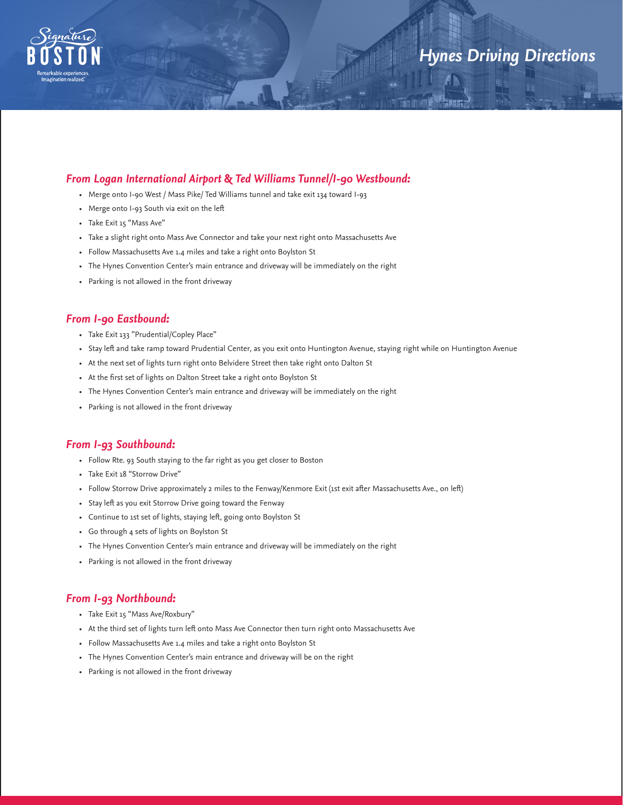

# *Hynes Driving Directions*

# *From Logan International Airport* **&** *Ted Williams Tunnel/I-90 Westbound:*

- Merge onto I-90 West / Mass Pike/ Ted Williams tunnel and take exit 134 toward I-93
- Merge onto I-93 South via exit on the left
- Take Exit 15 "Mass Ave"
- Take a slight right onto Mass Ave Connector and take your next right onto Massachusetts Ave
- Follow Massachusetts Ave 1.4 miles and take a right onto Boylston St
- The Hynes Convention Center's main entrance and driveway will be immediately on the right
- Parking is not allowed in the front driveway

### *From I-90 Eastbound:*

- Take Exit 133 "Prudential/Copley Place"
- Stay left and take ramp toward Prudential Center, as you exit onto Huntington Avenue, staying right while on Huntington Avenue
- At the next set of lights turn right onto Belvidere Street then take right onto Dalton St
- At the first set of lights on Dalton Street take a right onto Boylston St
- The Hynes Convention Center's main entrance and driveway will be immediately on the right
- Parking is not allowed in the front driveway

# *From I-93 Southbound:*

- Follow Rte. 93 South staying to the far right as you get closer to Boston
- Take Exit 18 "Storrow Drive"
- Follow Storrow Drive approximately 2 miles to the Fenway/Kenmore Exit (1st exit after Massachusetts Ave., on left)
- Stay left as you exit Storrow Drive going toward the Fenway
- Continue to 1st set of lights, staying left, going onto Boylston St
- Go through 4 sets of lights on Boylston St
- The Hynes Convention Center's main entrance and driveway will be immediately on the right
- Parking is not allowed in the front driveway

#### *From I-93 Northbound:*

- Take Exit 15 "Mass Ave/Roxbury"
- At the third set of lights turn left onto Mass Ave Connector then turn right onto Massachusetts Ave
- Follow Massachusetts Ave 1.4 miles and take a right onto Boylston St
- The Hynes Convention Center's main entrance and driveway will be on the right
- Parking is not allowed in the front driveway